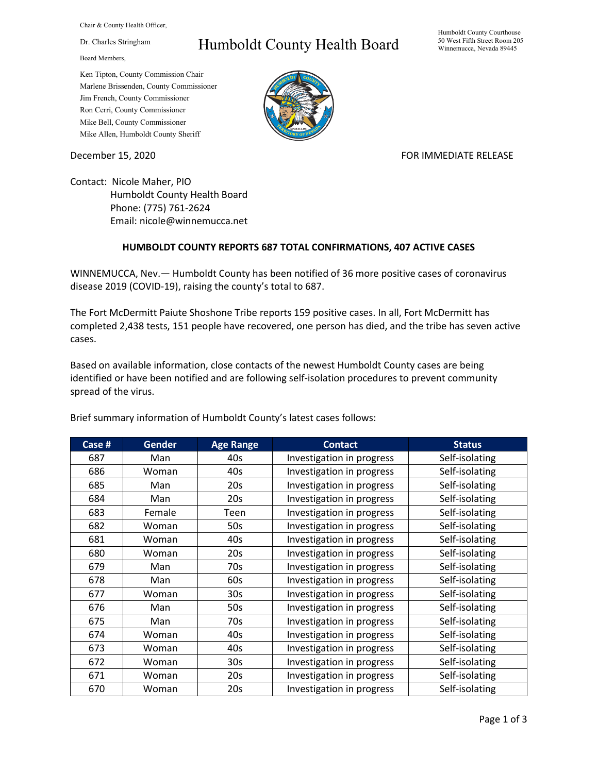Chair & County Health Officer,

Dr. Charles Stringham

Board Members,

## Humboldt County Health Board

Humboldt County Courthouse 50 West Fifth Street Room 205 Winnemucca, Nevada 89445

Ken Tipton, County Commission Chair Marlene Brissenden, County Commissioner Jim French, County Commissioner Ron Cerri, County Commissioner Mike Bell, County Commissioner Mike Allen, Humboldt County Sheriff

December 15, 2020 **FOR IMMEDIATE RELEASE** 

Contact: Nicole Maher, PIO Humboldt County Health Board Phone: (775) 761-2624 Email: nicole@winnemucca.net

## **HUMBOLDT COUNTY REPORTS 687 TOTAL CONFIRMATIONS, 407 ACTIVE CASES**

WINNEMUCCA, Nev.— Humboldt County has been notified of 36 more positive cases of coronavirus disease 2019 (COVID-19), raising the county's total to 687.

The Fort McDermitt Paiute Shoshone Tribe reports 159 positive cases. In all, Fort McDermitt has completed 2,438 tests, 151 people have recovered, one person has died, and the tribe has seven active cases.

Based on available information, close contacts of the newest Humboldt County cases are being identified or have been notified and are following self-isolation procedures to prevent community spread of the virus.

| Case # | <b>Gender</b> | <b>Age Range</b> | <b>Contact</b>            | <b>Status</b>  |
|--------|---------------|------------------|---------------------------|----------------|
| 687    | Man           | 40s              | Investigation in progress | Self-isolating |
| 686    | Woman         | 40s              | Investigation in progress | Self-isolating |
| 685    | Man           | 20s              | Investigation in progress | Self-isolating |
| 684    | Man           | 20s              | Investigation in progress | Self-isolating |
| 683    | Female        | Teen             | Investigation in progress | Self-isolating |
| 682    | Woman         | 50s              | Investigation in progress | Self-isolating |
| 681    | Woman         | 40s              | Investigation in progress | Self-isolating |
| 680    | Woman         | 20s              | Investigation in progress | Self-isolating |
| 679    | Man           | 70s              | Investigation in progress | Self-isolating |
| 678    | Man           | 60s              | Investigation in progress | Self-isolating |
| 677    | Woman         | 30 <sub>s</sub>  | Investigation in progress | Self-isolating |
| 676    | Man           | 50s              | Investigation in progress | Self-isolating |
| 675    | Man           | 70s              | Investigation in progress | Self-isolating |
| 674    | Woman         | 40s              | Investigation in progress | Self-isolating |
| 673    | Woman         | 40s              | Investigation in progress | Self-isolating |
| 672    | Woman         | 30 <sub>s</sub>  | Investigation in progress | Self-isolating |
| 671    | Woman         | 20s              | Investigation in progress | Self-isolating |
| 670    | Woman         | 20s              | Investigation in progress | Self-isolating |

Brief summary information of Humboldt County's latest cases follows: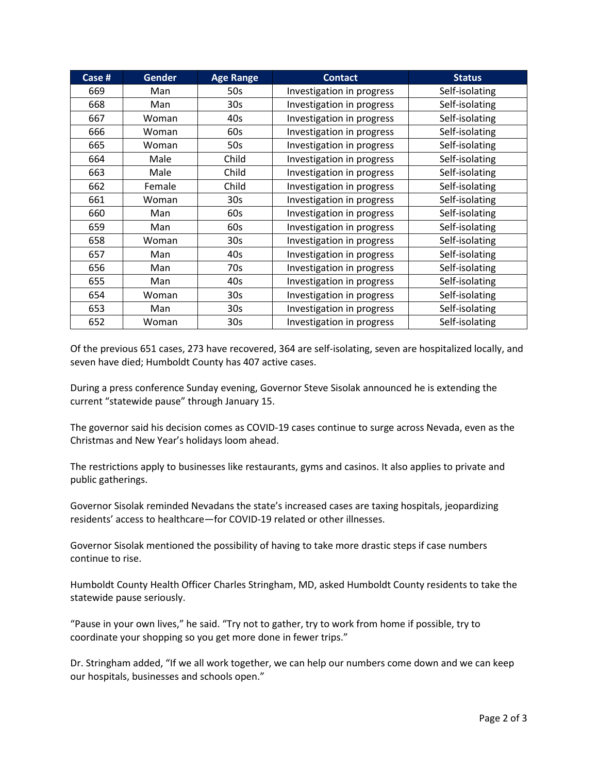| Case # | <b>Gender</b> | <b>Age Range</b> | <b>Contact</b>            | <b>Status</b>  |
|--------|---------------|------------------|---------------------------|----------------|
| 669    | Man           | 50s              | Investigation in progress | Self-isolating |
| 668    | Man           | 30 <sub>s</sub>  | Investigation in progress | Self-isolating |
| 667    | Woman         | 40s              | Investigation in progress | Self-isolating |
| 666    | Woman         | 60s              | Investigation in progress | Self-isolating |
| 665    | Woman         | 50s              | Investigation in progress | Self-isolating |
| 664    | Male          | Child            | Investigation in progress | Self-isolating |
| 663    | Male          | Child            | Investigation in progress | Self-isolating |
| 662    | Female        | Child            | Investigation in progress | Self-isolating |
| 661    | Woman         | 30 <sub>s</sub>  | Investigation in progress | Self-isolating |
| 660    | Man           | 60s              | Investigation in progress | Self-isolating |
| 659    | Man           | 60s              | Investigation in progress | Self-isolating |
| 658    | Woman         | 30 <sub>s</sub>  | Investigation in progress | Self-isolating |
| 657    | Man           | 40s              | Investigation in progress | Self-isolating |
| 656    | Man           | 70s              | Investigation in progress | Self-isolating |
| 655    | Man           | 40s              | Investigation in progress | Self-isolating |
| 654    | Woman         | 30 <sub>s</sub>  | Investigation in progress | Self-isolating |
| 653    | Man           | 30 <sub>s</sub>  | Investigation in progress | Self-isolating |
| 652    | Woman         | 30 <sub>s</sub>  | Investigation in progress | Self-isolating |

Of the previous 651 cases, 273 have recovered, 364 are self-isolating, seven are hospitalized locally, and seven have died; Humboldt County has 407 active cases.

During a press conference Sunday evening, Governor Steve Sisolak announced he is extending the current "statewide pause" through January 15.

The governor said his decision comes as COVID-19 cases continue to surge across Nevada, even as the Christmas and New Year's holidays loom ahead.

The restrictions apply to businesses like restaurants, gyms and casinos. It also applies to private and public gatherings.

Governor Sisolak reminded Nevadans the state's increased cases are taxing hospitals, jeopardizing residents' access to healthcare—for COVID-19 related or other illnesses.

Governor Sisolak mentioned the possibility of having to take more drastic steps if case numbers continue to rise.

Humboldt County Health Officer Charles Stringham, MD, asked Humboldt County residents to take the statewide pause seriously.

"Pause in your own lives," he said. "Try not to gather, try to work from home if possible, try to coordinate your shopping so you get more done in fewer trips."

Dr. Stringham added, "If we all work together, we can help our numbers come down and we can keep our hospitals, businesses and schools open."